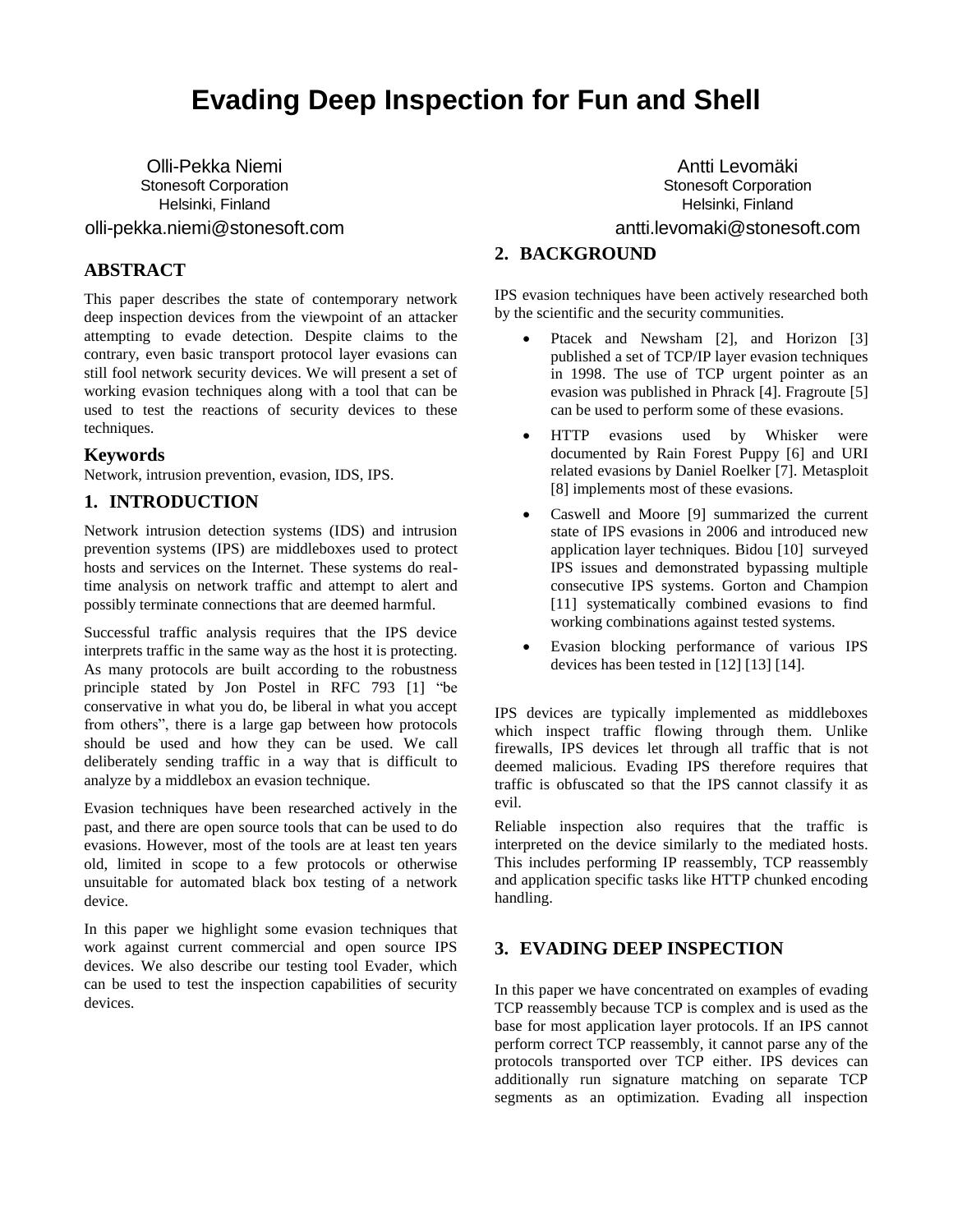# **Evading Deep Inspection for Fun and Shell**

Olli-Pekka Niemi Stonesoft Corporation Helsinki, Finland olli-pekka.niemi@stonesoft.com

# **ABSTRACT**

This paper describes the state of contemporary network deep inspection devices from the viewpoint of an attacker attempting to evade detection. Despite claims to the contrary, even basic transport protocol layer evasions can still fool network security devices. We will present a set of working evasion techniques along with a tool that can be used to test the reactions of security devices to these techniques.

#### **Keywords**

Network, intrusion prevention, evasion, IDS, IPS.

# **1. INTRODUCTION**

Network intrusion detection systems (IDS) and intrusion prevention systems (IPS) are middleboxes used to protect hosts and services on the Internet. These systems do realtime analysis on network traffic and attempt to alert and possibly terminate connections that are deemed harmful.

Successful traffic analysis requires that the IPS device interprets traffic in the same way as the host it is protecting. As many protocols are built according to the robustness principle stated by Jon Postel in RFC 793 [1] "be conservative in what you do, be liberal in what you accept from others", there is a large gap between how protocols should be used and how they can be used. We call deliberately sending traffic in a way that is difficult to analyze by a middlebox an evasion technique.

Evasion techniques have been researched actively in the past, and there are open source tools that can be used to do evasions. However, most of the tools are at least ten years old, limited in scope to a few protocols or otherwise unsuitable for automated black box testing of a network device.

In this paper we highlight some evasion techniques that work against current commercial and open source IPS devices. We also describe our testing tool Evader, which can be used to test the inspection capabilities of security devices.

Antti Levomäki Stonesoft Corporation Helsinki, Finland antti.levomaki@stonesoft.com

# **2. BACKGROUND**

IPS evasion techniques have been actively researched both by the scientific and the security communities.

- Ptacek and Newsham [2], and Horizon [3] published a set of TCP/IP layer evasion techniques in 1998. The use of TCP urgent pointer as an evasion was published in Phrack [4]. Fragroute [5] can be used to perform some of these evasions.
- HTTP evasions used by Whisker were documented by Rain Forest Puppy [6] and URI related evasions by Daniel Roelker [7]. Metasploit [8] implements most of these evasions.
- Caswell and Moore [9] summarized the current state of IPS evasions in 2006 and introduced new application layer techniques. Bidou [10] surveyed IPS issues and demonstrated bypassing multiple consecutive IPS systems. Gorton and Champion [11] systematically combined evasions to find working combinations against tested systems.
- Evasion blocking performance of various IPS devices has been tested in [12] [13] [14].

IPS devices are typically implemented as middleboxes which inspect traffic flowing through them. Unlike firewalls, IPS devices let through all traffic that is not deemed malicious. Evading IPS therefore requires that traffic is obfuscated so that the IPS cannot classify it as evil.

Reliable inspection also requires that the traffic is interpreted on the device similarly to the mediated hosts. This includes performing IP reassembly, TCP reassembly and application specific tasks like HTTP chunked encoding handling.

# **3. EVADING DEEP INSPECTION**

In this paper we have concentrated on examples of evading TCP reassembly because TCP is complex and is used as the base for most application layer protocols. If an IPS cannot perform correct TCP reassembly, it cannot parse any of the protocols transported over TCP either. IPS devices can additionally run signature matching on separate TCP segments as an optimization. Evading all inspection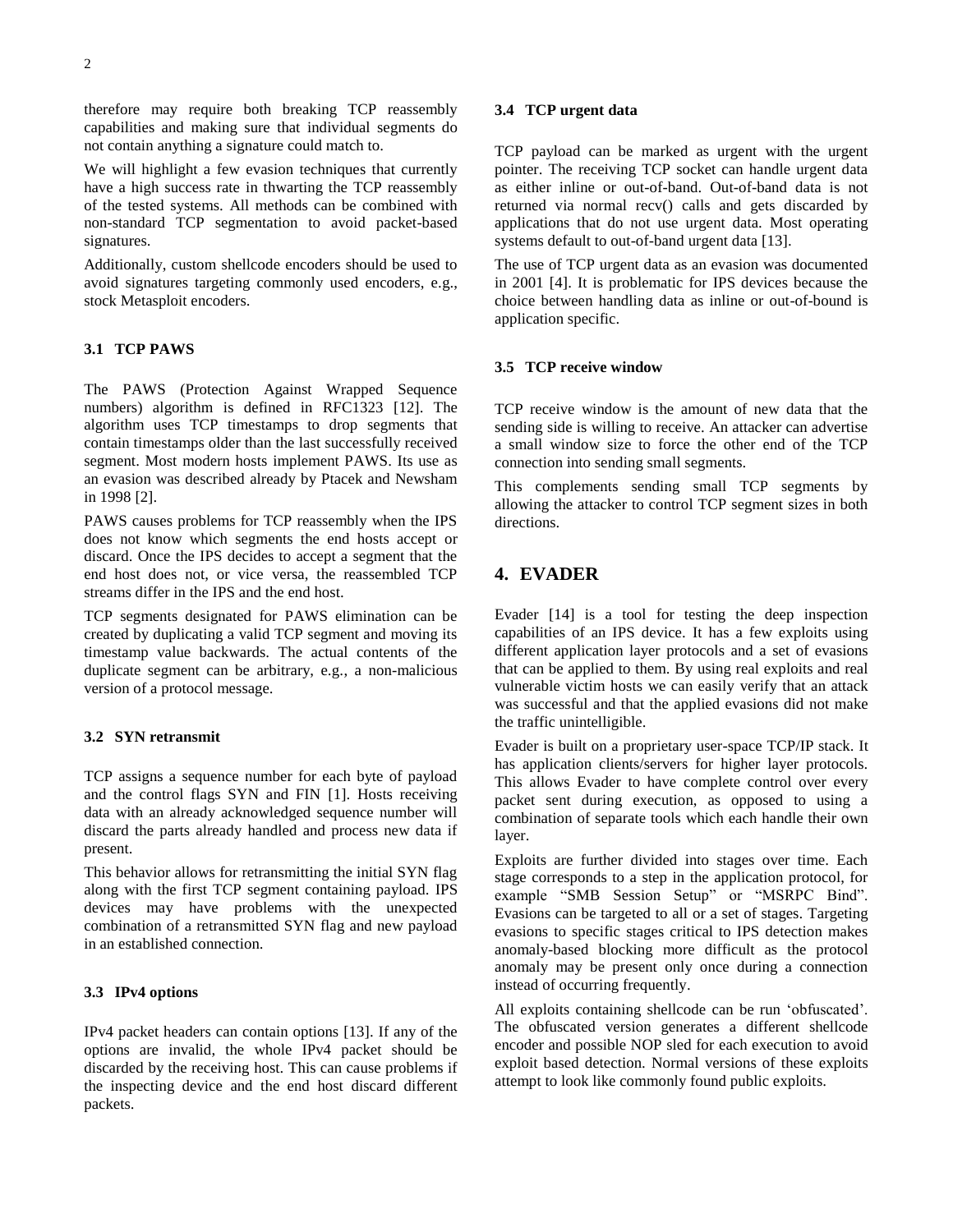therefore may require both breaking TCP reassembly capabilities and making sure that individual segments do not contain anything a signature could match to.

We will highlight a few evasion techniques that currently have a high success rate in thwarting the TCP reassembly of the tested systems. All methods can be combined with non-standard TCP segmentation to avoid packet-based signatures.

Additionally, custom shellcode encoders should be used to avoid signatures targeting commonly used encoders, e.g., stock Metasploit encoders.

#### **3.1 TCP PAWS**

The PAWS (Protection Against Wrapped Sequence numbers) algorithm is defined in RFC1323 [12]. The algorithm uses TCP timestamps to drop segments that contain timestamps older than the last successfully received segment. Most modern hosts implement PAWS. Its use as an evasion was described already by Ptacek and Newsham in 1998 [2].

PAWS causes problems for TCP reassembly when the IPS does not know which segments the end hosts accept or discard. Once the IPS decides to accept a segment that the end host does not, or vice versa, the reassembled TCP streams differ in the IPS and the end host.

TCP segments designated for PAWS elimination can be created by duplicating a valid TCP segment and moving its timestamp value backwards. The actual contents of the duplicate segment can be arbitrary, e.g., a non-malicious version of a protocol message.

#### **3.2 SYN retransmit**

TCP assigns a sequence number for each byte of payload and the control flags SYN and FIN [1]. Hosts receiving data with an already acknowledged sequence number will discard the parts already handled and process new data if present.

This behavior allows for retransmitting the initial SYN flag along with the first TCP segment containing payload. IPS devices may have problems with the unexpected combination of a retransmitted SYN flag and new payload in an established connection.

#### **3.3 IPv4 options**

IPv4 packet headers can contain options [13]. If any of the options are invalid, the whole IPv4 packet should be discarded by the receiving host. This can cause problems if the inspecting device and the end host discard different packets.

#### **3.4 TCP urgent data**

TCP payload can be marked as urgent with the urgent pointer. The receiving TCP socket can handle urgent data as either inline or out-of-band. Out-of-band data is not returned via normal recv() calls and gets discarded by applications that do not use urgent data. Most operating systems default to out-of-band urgent data [13].

The use of TCP urgent data as an evasion was documented in 2001 [4]. It is problematic for IPS devices because the choice between handling data as inline or out-of-bound is application specific.

#### **3.5 TCP receive window**

TCP receive window is the amount of new data that the sending side is willing to receive. An attacker can advertise a small window size to force the other end of the TCP connection into sending small segments.

This complements sending small TCP segments by allowing the attacker to control TCP segment sizes in both directions.

## **4. EVADER**

Evader [14] is a tool for testing the deep inspection capabilities of an IPS device. It has a few exploits using different application layer protocols and a set of evasions that can be applied to them. By using real exploits and real vulnerable victim hosts we can easily verify that an attack was successful and that the applied evasions did not make the traffic unintelligible.

Evader is built on a proprietary user-space TCP/IP stack. It has application clients/servers for higher layer protocols. This allows Evader to have complete control over every packet sent during execution, as opposed to using a combination of separate tools which each handle their own layer.

Exploits are further divided into stages over time. Each stage corresponds to a step in the application protocol, for example "SMB Session Setup" or "MSRPC Bind". Evasions can be targeted to all or a set of stages. Targeting evasions to specific stages critical to IPS detection makes anomaly-based blocking more difficult as the protocol anomaly may be present only once during a connection instead of occurring frequently.

All exploits containing shellcode can be run 'obfuscated'. The obfuscated version generates a different shellcode encoder and possible NOP sled for each execution to avoid exploit based detection. Normal versions of these exploits attempt to look like commonly found public exploits.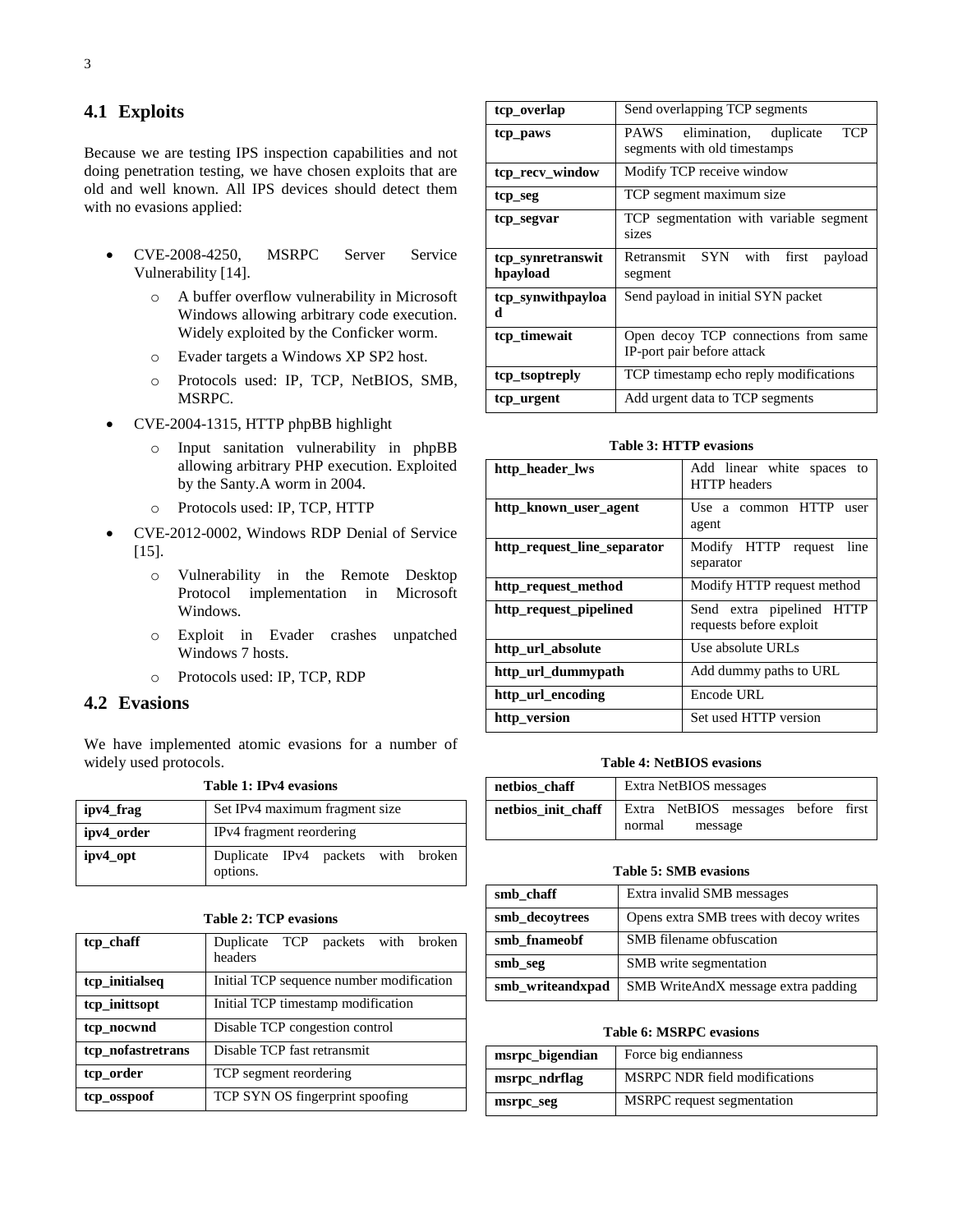# **4.1 Exploits**

Because we are testing IPS inspection capabilities and not doing penetration testing, we have chosen exploits that are old and well known. All IPS devices should detect them with no evasions applied:

- CVE-2008-4250, MSRPC Server Service Vulnerability [14].
	- o A buffer overflow vulnerability in Microsoft Windows allowing arbitrary code execution. Widely exploited by the Conficker worm.
	- o Evader targets a Windows XP SP2 host.
	- o Protocols used: IP, TCP, NetBIOS, SMB, MSRPC.
- CVE-2004-1315, HTTP phpBB highlight
	- o Input sanitation vulnerability in phpBB allowing arbitrary PHP execution. Exploited by the Santy.A worm in 2004.
	- o Protocols used: IP, TCP, HTTP
- CVE-2012-0002, Windows RDP Denial of Service [15].
	- o Vulnerability in the Remote Desktop Protocol implementation in Microsoft Windows.
	- o Exploit in Evader crashes unpatched Windows 7 hosts.
	- o Protocols used: IP, TCP, RDP

## **4.2 Evasions**

We have implemented atomic evasions for a number of widely used protocols. **Table 1: IPv4 evasions**

| ipv4_frag  | Set IPv4 maximum fragment size                 |  |  |  |  |  |  |  |  |  |  |
|------------|------------------------------------------------|--|--|--|--|--|--|--|--|--|--|
| ipv4_order | IPv4 fragment reordering                       |  |  |  |  |  |  |  |  |  |  |
| ipv4_opt   | Duplicate IPv4 packets with broken<br>options. |  |  |  |  |  |  |  |  |  |  |

| tcp_chaff         | Duplicate TCP packets with broken        |  |  |  |  |  |  |  |  |  |  |  |
|-------------------|------------------------------------------|--|--|--|--|--|--|--|--|--|--|--|
|                   | headers                                  |  |  |  |  |  |  |  |  |  |  |  |
| tcp_initialseq    | Initial TCP sequence number modification |  |  |  |  |  |  |  |  |  |  |  |
| tcp_inittsopt     | Initial TCP timestamp modification       |  |  |  |  |  |  |  |  |  |  |  |
| tcp_nocwnd        | Disable TCP congestion control           |  |  |  |  |  |  |  |  |  |  |  |
| tcp_nofastretrans | Disable TCP fast retransmit              |  |  |  |  |  |  |  |  |  |  |  |
| tcp_order         | TCP segment reordering                   |  |  |  |  |  |  |  |  |  |  |  |
| tcp_osspoof       | TCP SYN OS fingerprint spoofing          |  |  |  |  |  |  |  |  |  |  |  |
|                   |                                          |  |  |  |  |  |  |  |  |  |  |  |

| tcp_overlap                   | Send overlapping TCP segments                                         |  |  |  |  |  |  |  |  |  |  |  |
|-------------------------------|-----------------------------------------------------------------------|--|--|--|--|--|--|--|--|--|--|--|
| tcp_paws                      | TCP<br>PAWS<br>elimination, duplicate<br>segments with old timestamps |  |  |  |  |  |  |  |  |  |  |  |
| tcp_recv_window               | Modify TCP receive window                                             |  |  |  |  |  |  |  |  |  |  |  |
| tcp_seg                       | TCP segment maximum size                                              |  |  |  |  |  |  |  |  |  |  |  |
| tcp_segvar                    | TCP segmentation with variable segment<br>sizes                       |  |  |  |  |  |  |  |  |  |  |  |
| tcp_synretranswit<br>hpayload | Retransmit SYN<br>with<br>first<br>payload<br>segment                 |  |  |  |  |  |  |  |  |  |  |  |
| tcp_synwithpayloa<br>d        | Send payload in initial SYN packet                                    |  |  |  |  |  |  |  |  |  |  |  |
| tcp_timewait                  | Open decoy TCP connections from same<br>IP-port pair before attack    |  |  |  |  |  |  |  |  |  |  |  |
| tcp_tsoptreply                | TCP timestamp echo reply modifications                                |  |  |  |  |  |  |  |  |  |  |  |
| tcp_urgent                    | Add urgent data to TCP segments                                       |  |  |  |  |  |  |  |  |  |  |  |

#### **Table 3: HTTP evasions**

| http_header_lws             | Add linear white spaces to<br><b>HTTP</b> headers    |  |  |  |  |  |  |  |  |  |  |
|-----------------------------|------------------------------------------------------|--|--|--|--|--|--|--|--|--|--|
| http known user agent       | <b>HTTP</b><br>Use a common<br>user<br>agent         |  |  |  |  |  |  |  |  |  |  |
| http_request_line_separator | Modify HTTP<br>line<br>request<br>separator          |  |  |  |  |  |  |  |  |  |  |
| http_request_method         | Modify HTTP request method                           |  |  |  |  |  |  |  |  |  |  |
| http_request_pipelined      | Send extra pipelined HTTP<br>requests before exploit |  |  |  |  |  |  |  |  |  |  |
| http_url_absolute           | Use absolute URLs                                    |  |  |  |  |  |  |  |  |  |  |
| http_url_dummypath          | Add dummy paths to URL                               |  |  |  |  |  |  |  |  |  |  |
| http_url_encoding           | Encode URL                                           |  |  |  |  |  |  |  |  |  |  |
| http_version                | Set used HTTP version                                |  |  |  |  |  |  |  |  |  |  |

#### **Table 4: NetBIOS evasions**

| netbios_chaff      | Extra NetBIOS messages |         |                                     |  |  |  |  |  |  |  |  |
|--------------------|------------------------|---------|-------------------------------------|--|--|--|--|--|--|--|--|
| netbios init chaff |                        |         | Extra NetBIOS messages before first |  |  |  |  |  |  |  |  |
|                    | normal                 | message |                                     |  |  |  |  |  |  |  |  |

#### **Table 5: SMB evasions**

| smb chaff        | Extra invalid SMB messages              |
|------------------|-----------------------------------------|
| smb_decoytrees   | Opens extra SMB trees with decoy writes |
| smb fnameobf     | SMB filename obfuscation                |
| smb_seg          | SMB write segmentation                  |
| smb_writeandxpad | SMB WriteAndX message extra padding     |

#### **Table 6: MSRPC evasions**

| msrpc_bigendian | Force big endianness                 |
|-----------------|--------------------------------------|
| msrpc_ndrflag   | <b>MSRPC NDR field modifications</b> |
| msrpc_seg       | MSRPC request segmentation           |

# **Table 2: TCP evasions**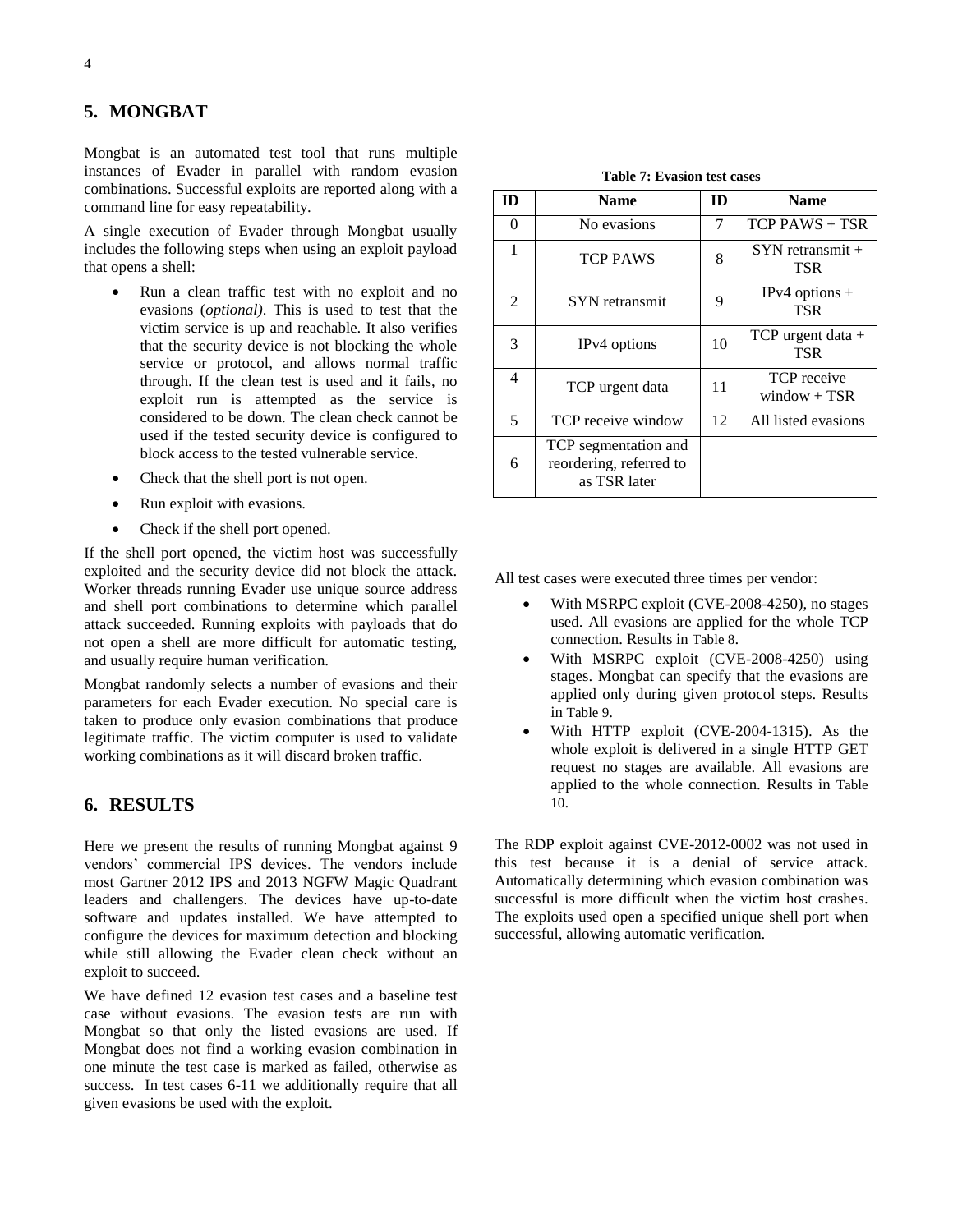## **5. MONGBAT**

Mongbat is an automated test tool that runs multiple instances of Evader in parallel with random evasion combinations. Successful exploits are reported along with a command line for easy repeatability.

A single execution of Evader through Mongbat usually includes the following steps when using an exploit payload that opens a shell:

- Run a clean traffic test with no exploit and no evasions (*optional)*. This is used to test that the victim service is up and reachable. It also verifies that the security device is not blocking the whole service or protocol, and allows normal traffic through. If the clean test is used and it fails, no exploit run is attempted as the service is considered to be down. The clean check cannot be used if the tested security device is configured to block access to the tested vulnerable service.
- Check that the shell port is not open.
- Run exploit with evasions.
- Check if the shell port opened.

If the shell port opened, the victim host was successfully exploited and the security device did not block the attack. Worker threads running Evader use unique source address and shell port combinations to determine which parallel attack succeeded. Running exploits with payloads that do not open a shell are more difficult for automatic testing, and usually require human verification.

Mongbat randomly selects a number of evasions and their parameters for each Evader execution. No special care is taken to produce only evasion combinations that produce legitimate traffic. The victim computer is used to validate working combinations as it will discard broken traffic.

## **6. RESULTS**

Here we present the results of running Mongbat against 9 vendors' commercial IPS devices. The vendors include most Gartner 2012 IPS and 2013 NGFW Magic Quadrant leaders and challengers. The devices have up-to-date software and updates installed. We have attempted to configure the devices for maximum detection and blocking while still allowing the Evader clean check without an exploit to succeed.

We have defined 12 evasion test cases and a baseline test case without evasions. The evasion tests are run with Mongbat so that only the listed evasions are used. If Mongbat does not find a working evasion combination in one minute the test case is marked as failed, otherwise as success. In test cases 6-11 we additionally require that all given evasions be used with the exploit.

**Table 7: Evasion test cases**

| m              | <b>Name</b>                                                     | <b>ID</b> | <b>Name</b>                          |
|----------------|-----------------------------------------------------------------|-----------|--------------------------------------|
| 0              | No evasions                                                     | 7         | $TCP$ PAWS + TSR                     |
| 1              | <b>TCP PAWS</b>                                                 | 8         | $SYN$ retransmit +<br><b>TSR</b>     |
| $\mathfrak{D}$ | SYN retransmit                                                  | 9         | $IPv4$ options +<br><b>TSR</b>       |
| 3              | IP <sub>v</sub> 4 options                                       | 10        | TCP urgent data $+$<br><b>TSR</b>    |
| 4              | TCP urgent data                                                 | 11        | <b>TCP</b> receive<br>window $+$ TSR |
| 5              | TCP receive window                                              | 12        | All listed evasions                  |
| 6              | TCP segmentation and<br>reordering, referred to<br>as TSR later |           |                                      |

All test cases were executed three times per vendor:

- With MSRPC exploit (CVE-2008-4250), no stages used. All evasions are applied for the whole TCP connection. Results in [Table 8](#page-4-0).
- With MSRPC exploit (CVE-2008-4250) using stages. Mongbat can specify that the evasions are applied only during given protocol steps. Results in [Table 9](#page-4-1).
- With HTTP exploit (CVE-2004-1315). As the whole exploit is delivered in a single HTTP GET request no stages are available. All evasions are applied to the whole connection. Results in [Table](#page-4-2)  [10](#page-4-2).

The RDP exploit against CVE-2012-0002 was not used in this test because it is a denial of service attack. Automatically determining which evasion combination was successful is more difficult when the victim host crashes. The exploits used open a specified unique shell port when successful, allowing automatic verification.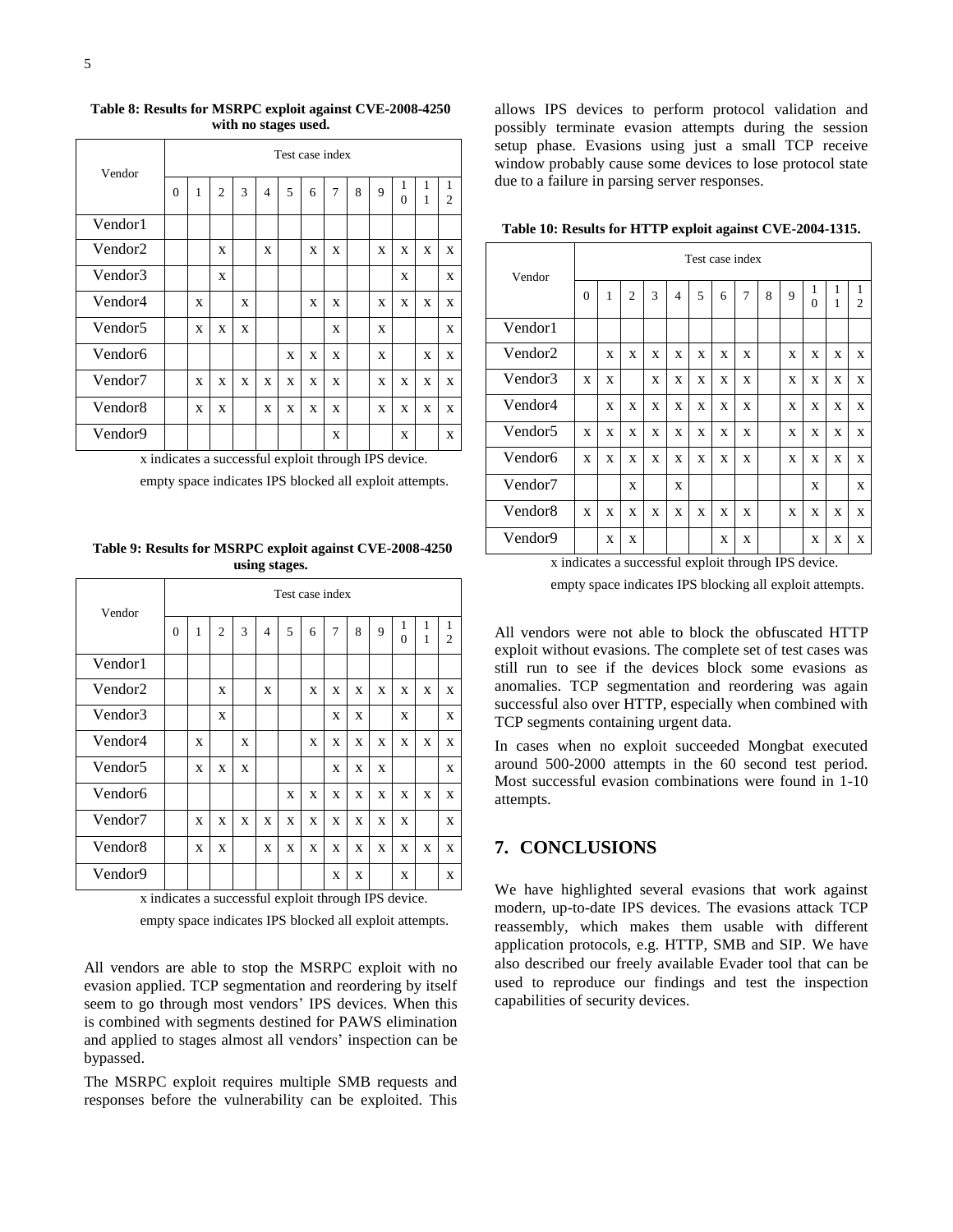| Vendor              |          | Test case index |                |   |                |   |   |   |   |   |               |        |                     |
|---------------------|----------|-----------------|----------------|---|----------------|---|---|---|---|---|---------------|--------|---------------------|
|                     | $\theta$ | $\mathbf{1}$    | $\overline{2}$ | 3 | $\overline{4}$ | 5 | 6 | 7 | 8 | 9 | 1<br>$\Omega$ | 1<br>1 | 1<br>$\overline{c}$ |
| Vendor1             |          |                 |                |   |                |   |   |   |   |   |               |        |                     |
| Vendor <sub>2</sub> |          |                 | X              |   | X              |   | X | X |   | X | X             | X      | X                   |
| Vendor3             |          |                 | X              |   |                |   |   |   |   |   | X             |        | X                   |
| Vendor4             |          | X               |                | X |                |   | X | X |   | X | X             | X      | X                   |
| Vendor <sub>5</sub> |          | X               | X              | X |                |   |   | X |   | X |               |        | X                   |
| Vendor <sub>6</sub> |          |                 |                |   |                | X | X | X |   | X |               | X      | X                   |
| Vendor7             |          | X               | X              | X | X              | X | X | X |   | X | X             | X      | X                   |
| Vendor <sub>8</sub> |          | X               | X              |   | X              | X | X | X |   | X | X             | X      | X                   |
| Vendor9             |          |                 |                |   |                |   |   | X |   |   | X             |        | X                   |

#### <span id="page-4-0"></span>**Table 8: Results for MSRPC exploit against CVE-2008-4250 with no stages used.**

x indicates a successful exploit through IPS device.

empty space indicates IPS blocked all exploit attempts.

<span id="page-4-1"></span>**Table 9: Results for MSRPC exploit against CVE-2008-4250 using stages.** 

| Vendor              |                                                      | Test case index |                |   |   |   |   |                |   |   |               |   |                     |
|---------------------|------------------------------------------------------|-----------------|----------------|---|---|---|---|----------------|---|---|---------------|---|---------------------|
|                     | $\theta$                                             | 1               | $\overline{c}$ | 3 | 4 | 5 | 6 | $\overline{7}$ | 8 | 9 | 1<br>$\Omega$ | 1 | 1<br>$\overline{c}$ |
| Vendor1             |                                                      |                 |                |   |   |   |   |                |   |   |               |   |                     |
| Vendor <sub>2</sub> |                                                      |                 | X              |   | X |   | X | X              | X | X | X             | X | X                   |
| Vendor3             |                                                      |                 | X              |   |   |   |   | X              | X |   | X             |   | X                   |
| Vendor4             |                                                      | X               |                | X |   |   | X | X              | X | X | X             | X | X                   |
| Vendor <sub>5</sub> |                                                      | X               | X              | X |   |   |   | X              | X | X |               |   | X                   |
| Vendor <sub>6</sub> |                                                      |                 |                |   |   | X | X | X              | X | X | X             | X | X                   |
| Vendor7             |                                                      | X               | X              | X | X | X | X | X              | X | X | X             |   | X                   |
| Vendor8             |                                                      | X               | X              |   | X | X | X | X              | X | X | X             | X | X                   |
| Vendor9             |                                                      |                 |                |   |   |   |   | X              | X |   | X             |   | X                   |
|                     | x indicates a successful exploit through IPS device. |                 |                |   |   |   |   |                |   |   |               |   |                     |

empty space indicates IPS blocked all exploit attempts.

All vendors are able to stop the MSRPC exploit with no evasion applied. TCP segmentation and reordering by itself seem to go through most vendors' IPS devices. When this is combined with segments destined for PAWS elimination and applied to stages almost all vendors' inspection can be bypassed.

The MSRPC exploit requires multiple SMB requests and responses before the vulnerability can be exploited. This allows IPS devices to perform protocol validation and possibly terminate evasion attempts during the session setup phase. Evasions using just a small TCP receive window probably cause some devices to lose protocol state due to a failure in parsing server responses.

| Test case index |   |                |   |                |   |   |   |   |   |               |        |                     |
|-----------------|---|----------------|---|----------------|---|---|---|---|---|---------------|--------|---------------------|
| $\theta$        | 1 | $\overline{c}$ | 3 | $\overline{4}$ | 5 | 6 | 7 | 8 | 9 | 1<br>$\theta$ | 1<br>1 | 1<br>$\overline{2}$ |
|                 |   |                |   |                |   |   |   |   |   |               |        |                     |
|                 | X | X              | X | X              | X | X | X |   | X | X             | X      | X                   |
| X               | X |                | X | X              | X | X | X |   | X | X             | X      | X                   |
|                 | X | X              | X | X              | X | X | X |   | X | X             | X      | X                   |
| X               | X | X              | X | X              | X | X | X |   | X | X             | X      | X                   |
| X               | X | X              | X | X              | X | X | X |   | X | X             | X      | X                   |
|                 |   | X              |   | X              |   |   |   |   |   | X             |        | X                   |
| X               | X | X              | X | X              | X | X | X |   | X | X             | X      | X                   |
|                 | X | X              |   |                |   | X | X |   |   | X             | X      | X                   |
|                 |   |                |   |                |   |   |   |   |   |               |        |                     |

<span id="page-4-2"></span>**Table 10: Results for HTTP exploit against CVE-2004-1315.**

empty space indicates IPS blocking all exploit attempts.

All vendors were not able to block the obfuscated HTTP exploit without evasions. The complete set of test cases was still run to see if the devices block some evasions as anomalies. TCP segmentation and reordering was again successful also over HTTP, especially when combined with TCP segments containing urgent data.

In cases when no exploit succeeded Mongbat executed around 500-2000 attempts in the 60 second test period. Most successful evasion combinations were found in 1-10 attempts.

# **7. CONCLUSIONS**

We have highlighted several evasions that work against modern, up-to-date IPS devices. The evasions attack TCP reassembly, which makes them usable with different application protocols, e.g. HTTP, SMB and SIP. We have also described our freely available Evader tool that can be used to reproduce our findings and test the inspection capabilities of security devices.

x indicates a successful exploit through IPS device.